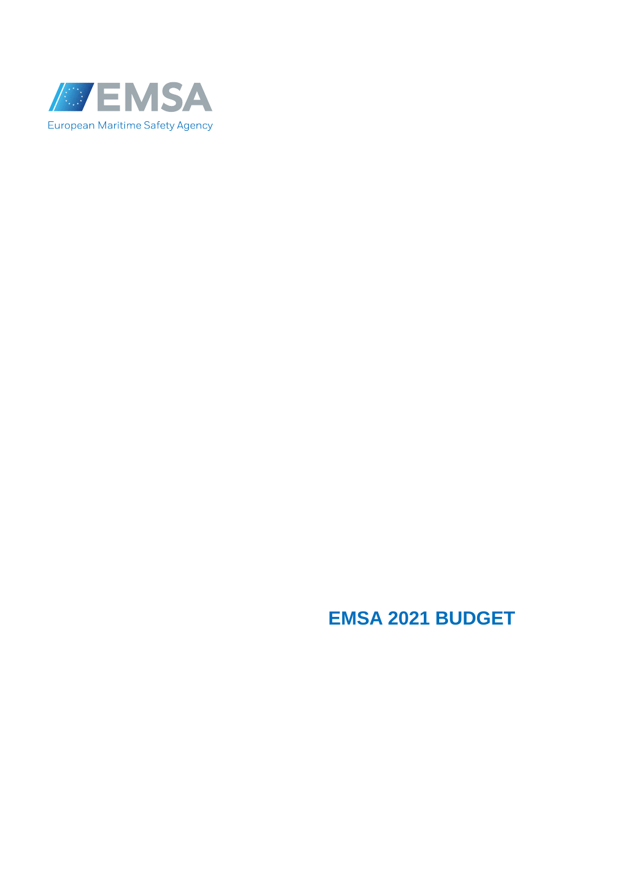

# **EMSA 2021 BUDGET**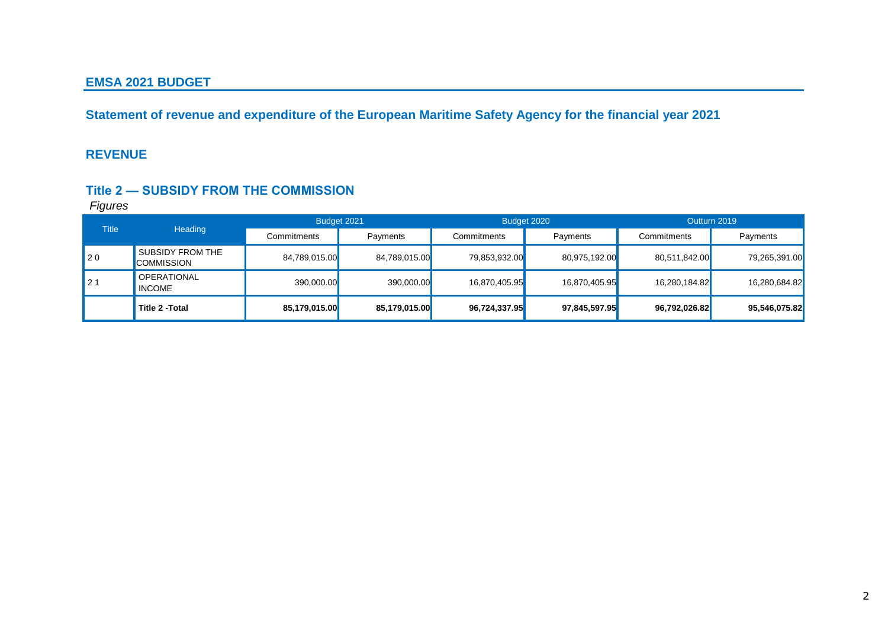#### **EMSA 2021 BUDGET**

**Statement of revenue and expenditure of the European Maritime Safety Agency for the financial year 2021**

#### **REVENUE**

#### **Title 2 — SUBSIDY FROM THE COMMISSION**

| <b>Title</b> | <b>Heading</b>                        | Budget 2021   |               |               | Outturn 2019<br>Budget 2020 |               |               |
|--------------|---------------------------------------|---------------|---------------|---------------|-----------------------------|---------------|---------------|
|              |                                       | Commitments   | Payments      | Commitments   | Payments                    | Commitments   | Payments      |
| $\vert$ 20   | SUBSIDY FROM THE<br><b>COMMISSION</b> | 84,789,015.00 | 84,789,015.00 | 79,853,932.00 | 80,975,192.00               | 80,511,842.00 | 79,265,391.00 |
| $'$ 21       | <b>OPERATIONAL</b><br><b>INCOME</b>   | 390,000.00    | 390,000.00    | 16,870,405.95 | 16,870,405.95               | 16,280,184.82 | 16,280,684.82 |
|              | Title 2 - Total                       | 85,179,015.00 | 85,179,015.00 | 96,724,337.95 | 97,845,597.95               | 96,792,026.82 | 95,546,075.82 |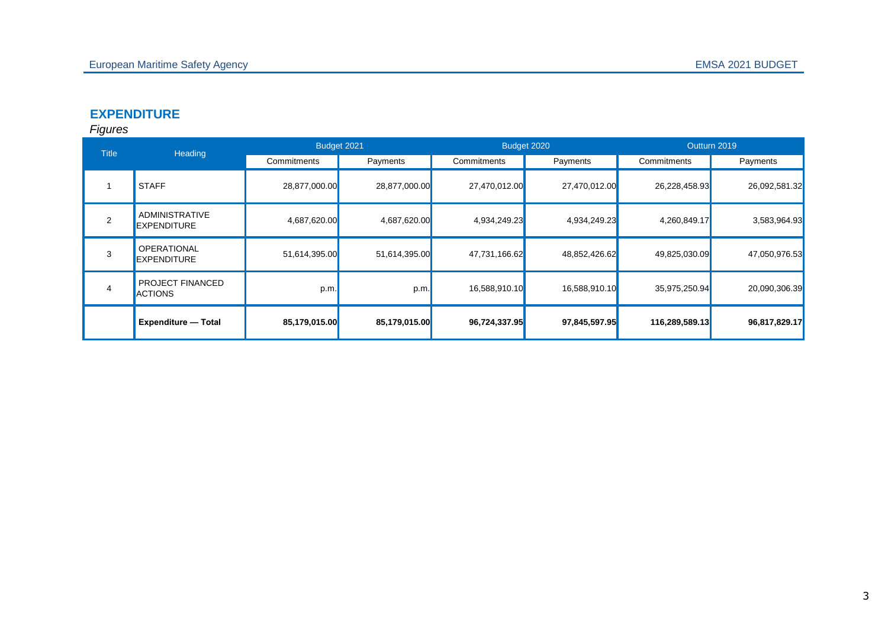## **EXPENDITURE**

| <b>Title</b> | Heading                                     |               | Budget 2021   | Budget 2020   |               | Outturn 2019   |               |
|--------------|---------------------------------------------|---------------|---------------|---------------|---------------|----------------|---------------|
|              |                                             | Commitments   | Payments      | Commitments   | Payments      | Commitments    | Payments      |
|              | <b>STAFF</b>                                | 28,877,000.00 | 28,877,000.00 | 27,470,012.00 | 27,470,012.00 | 26,228,458.93  | 26,092,581.32 |
| 2            | <b>ADMINISTRATIVE</b><br><b>EXPENDITURE</b> | 4,687,620.00  | 4,687,620.00  | 4,934,249.23  | 4,934,249.23  | 4,260,849.17   | 3,583,964.93  |
| 3            | <b>OPERATIONAL</b><br><b>EXPENDITURE</b>    | 51,614,395.00 | 51,614,395.00 | 47,731,166.62 | 48,852,426.62 | 49,825,030.09  | 47,050,976.53 |
| 4            | PROJECT FINANCED<br><b>ACTIONS</b>          | p.m.          | p.m.          | 16,588,910.10 | 16,588,910.10 | 35,975,250.94  | 20,090,306.39 |
|              | <b>Expenditure - Total</b>                  | 85,179,015.00 | 85,179,015.00 | 96,724,337.95 | 97,845,597.95 | 116,289,589.13 | 96,817,829.17 |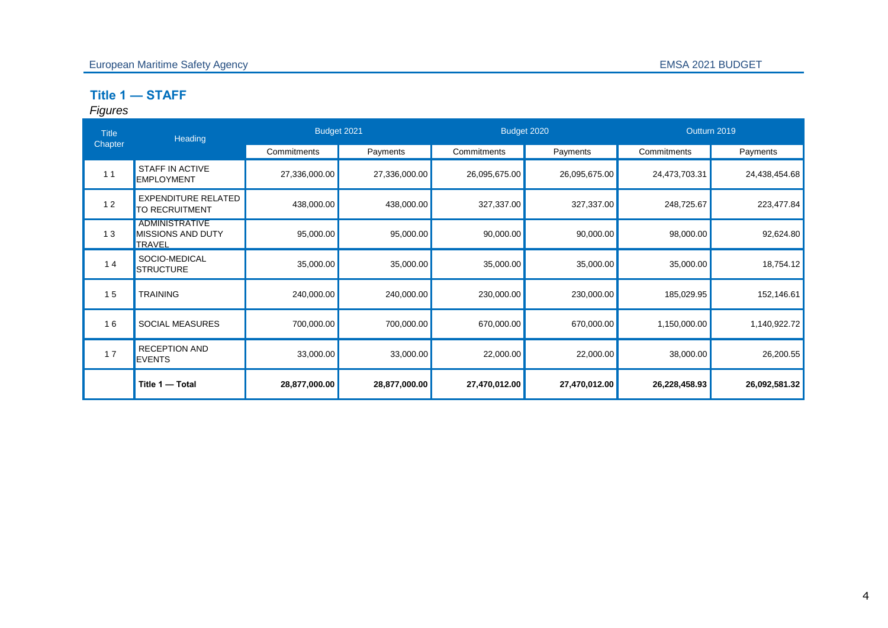## **Title 1 — STAFF**

| <b>Title</b><br>Chapter | <b>Heading</b>                                                     | Budget 2021   |               | Budget 2020   |               | Outturn 2019  |               |
|-------------------------|--------------------------------------------------------------------|---------------|---------------|---------------|---------------|---------------|---------------|
|                         |                                                                    | Commitments   | Payments      | Commitments   | Payments      | Commitments   | Payments      |
| 11                      | STAFF IN ACTIVE<br><b>EMPLOYMENT</b>                               | 27,336,000.00 | 27,336,000.00 | 26,095,675.00 | 26,095,675.00 | 24,473,703.31 | 24,438,454.68 |
| 12                      | <b>EXPENDITURE RELATED</b><br><b>TO RECRUITMENT</b>                | 438,000.00    | 438,000.00    | 327,337.00    | 327,337.00    | 248,725.67    | 223,477.84    |
| 13                      | <b>ADMINISTRATIVE</b><br><b>MISSIONS AND DUTY</b><br><b>TRAVEL</b> | 95,000.00     | 95,000.00     | 90,000.00     | 90,000.00     | 98,000.00     | 92,624.80     |
| 14                      | SOCIO-MEDICAL<br><b>STRUCTURE</b>                                  | 35,000.00     | 35,000.00     | 35,000.00     | 35,000.00     | 35,000.00     | 18,754.12     |
| 15                      | <b>TRAINING</b>                                                    | 240,000.00    | 240,000.00    | 230,000.00    | 230,000.00    | 185,029.95    | 152,146.61    |
| 16                      | <b>SOCIAL MEASURES</b>                                             | 700,000.00    | 700,000.00    | 670,000.00    | 670,000.00    | 1,150,000.00  | 1,140,922.72  |
| 17                      | <b>RECEPTION AND</b><br><b>EVENTS</b>                              | 33,000.00     | 33,000.00     | 22,000.00     | 22,000.00     | 38,000.00     | 26,200.55     |
|                         | Title 1 - Total                                                    | 28,877,000.00 | 28,877,000.00 | 27,470,012.00 | 27,470,012.00 | 26,228,458.93 | 26,092,581.32 |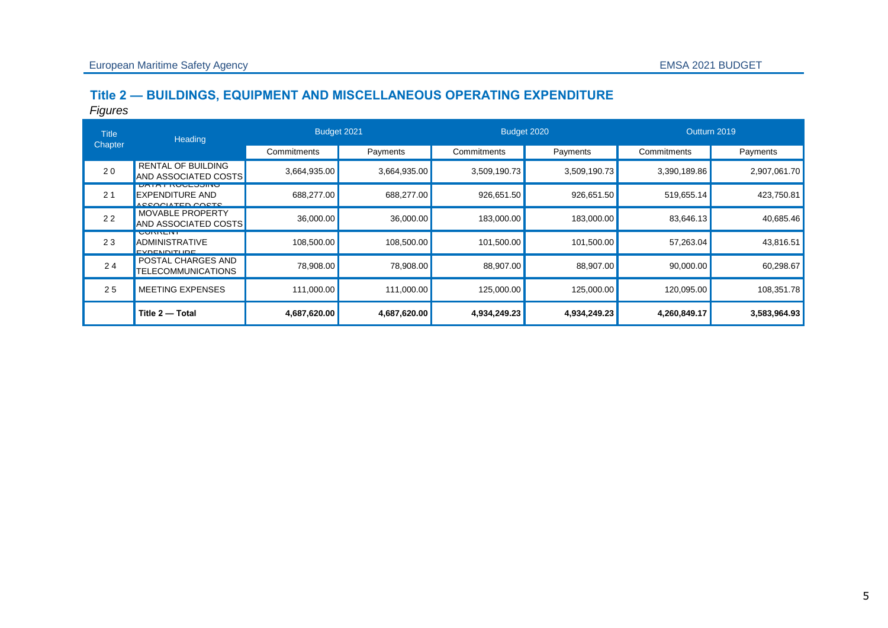## **Title 2 — BUILDINGS, EQUIPMENT AND MISCELLANEOUS OPERATING EXPENDITURE**

| <b>Title</b>   | Heading                                                                       | Budget 2021  |              |              | Budget 2020  | Outturn 2019 |              |
|----------------|-------------------------------------------------------------------------------|--------------|--------------|--------------|--------------|--------------|--------------|
| Chapter        |                                                                               | Commitments  | Payments     | Commitments  | Payments     | Commitments  | Payments     |
| 20             | <b>RENTAL OF BUILDING</b><br>AND ASSOCIATED COSTS                             | 3,664,935.00 | 3,664,935.00 | 3,509,190.73 | 3,509,190.73 | 3,390,189.86 | 2,907,061.70 |
| 2 <sub>1</sub> | <b>UATA FINUULOOIINU</b><br><b>EXPENDITURE AND</b><br><b>ACCOOLATED COCTS</b> | 688,277.00   | 688,277.00   | 926,651.50   | 926,651.50   | 519,655.14   | 423,750.81   |
| 22             | <b>MOVABLE PROPERTY</b><br>AND ASSOCIATED COSTS                               | 36,000.00    | 36,000.00    | 183,000.00   | 183,000.00   | 83,646.13    | 40,685.46    |
| 23             | <b>UUNNENI</b><br><b>ADMINISTRATIVE</b><br><b>EVDENNITHDE</b>                 | 108,500.00   | 108,500.00   | 101,500.00   | 101,500.00   | 57,263.04    | 43,816.51    |
| 24             | POSTAL CHARGES AND<br><b>TELECOMMUNICATIONS</b>                               | 78,908.00    | 78,908.00    | 88,907.00    | 88,907.00    | 90,000.00    | 60,298.67    |
| 25             | <b>MEETING EXPENSES</b>                                                       | 111,000.00   | 111,000.00   | 125,000.00   | 125,000.00   | 120,095.00   | 108,351.78   |
|                | Title 2 - Total                                                               | 4,687,620.00 | 4,687,620.00 | 4,934,249.23 | 4,934,249.23 | 4,260,849.17 | 3,583,964.93 |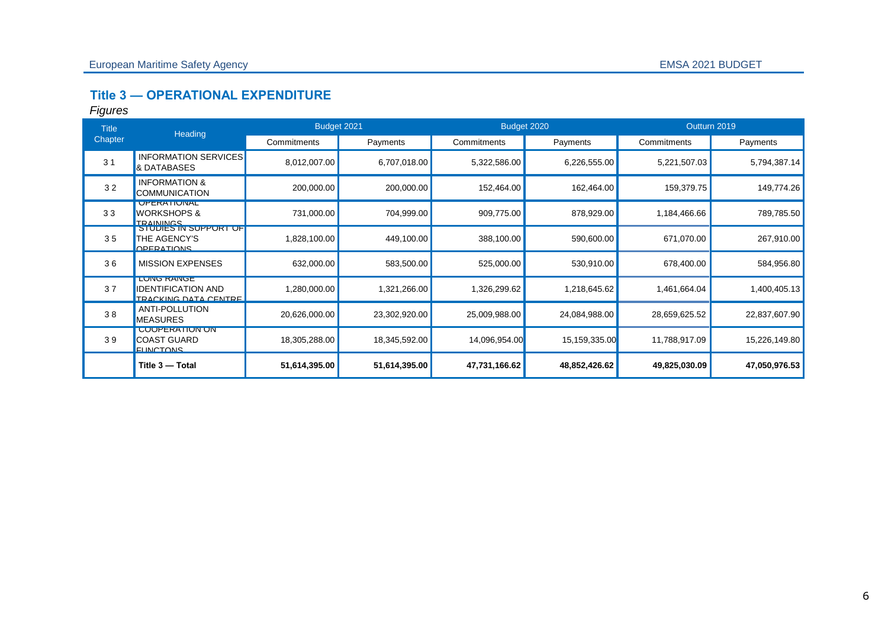# **Title 3 — OPERATIONAL EXPENDITURE**

| <b>Title</b>   | Heading                                                                | Budget 2021   |               |               | Budget 2020   | Outturn 2019  |               |
|----------------|------------------------------------------------------------------------|---------------|---------------|---------------|---------------|---------------|---------------|
| Chapter        |                                                                        | Commitments   | Payments      | Commitments   | Payments      | Commitments   | Payments      |
| 3 <sub>1</sub> | <b>INFORMATION SERVICES</b><br>& DATABASES                             | 8,012,007.00  | 6,707,018.00  | 5,322,586.00  | 6,226,555.00  | 5,221,507.03  | 5,794,387.14  |
| 32             | <b>INFORMATION &amp;</b><br><b>COMMUNICATION</b>                       | 200,000.00    | 200,000.00    | 152,464.00    | 162,464.00    | 159,379.75    | 149,774.26    |
| 33             | <b>UPERATIONAL</b><br>WORKSHOPS &<br><b>TRAININGS</b>                  | 731,000.00    | 704,999.00    | 909,775.00    | 878,929.00    | 1,184,466.66  | 789,785.50    |
| 35             | <u>זט דאטץ אט פאועט וכ</u><br>THE AGENCY'S<br><b>OPERATIONS</b>        | 1,828,100.00  | 449,100.00    | 388,100.00    | 590,600.00    | 671,070.00    | 267,910.00    |
| 36             | <b>MISSION EXPENSES</b>                                                | 632,000.00    | 583,500.00    | 525,000.00    | 530,910.00    | 678,400.00    | 584,956.80    |
| 37             | <b>LUNU KANUE</b><br><b>IDENTIFICATION AND</b><br>TRACKING DATA CENTRE | 1,280,000.00  | 1,321,266.00  | 1,326,299.62  | 1,218,645.62  | 1,461,664.04  | 1,400,405.13  |
| 38             | <b>ANTI-POLLUTION</b><br><b>MEASURES</b>                               | 20,626,000.00 | 23,302,920.00 | 25,009,988.00 | 24,084,988.00 | 28,659,625.52 | 22,837,607.90 |
| 39             | <b>UUUPERATIUN UN</b><br><b>COAST GUARD</b><br><b>FLINCTONS</b>        | 18,305,288.00 | 18,345,592.00 | 14,096,954.00 | 15,159,335.00 | 11,788,917.09 | 15,226,149.80 |
|                | Title 3 - Total                                                        | 51,614,395.00 | 51,614,395.00 | 47,731,166.62 | 48,852,426.62 | 49,825,030.09 | 47,050,976.53 |